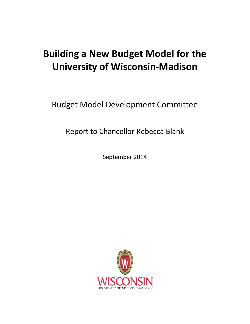# **Building a New Budget Model for the University of Wisconsin-Madison**

Budget Model Development Committee

Report to Chancellor Rebecca Blank

September 2014

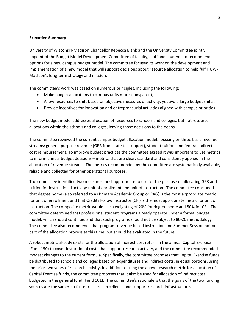## **Executive Summary**

University of Wisconsin-Madison Chancellor Rebecca Blank and the University Committee jointly appointed the Budget Model Development Committee of faculty, staff and students to recommend options for a new campus budget model. The committee focused its work on the development and implementation of a new model that will support decisions about resource allocation to help fulfill UW-Madison's long-term strategy and mission.

The committee's work was based on numerous principles, including the following:

- Make budget allocations to campus units more transparent;
- Allow resources to shift based on objective measures of activity, yet avoid large budget shifts;
- Provide incentives for innovation and entrepreneurial activities aligned with campus priorities.

The new budget model addresses allocation of resources to schools and colleges, but not resource allocations within the schools and colleges, leaving those decisions to the deans.

The committee reviewed the current campus budget allocation model, focusing on three basic revenue streams: general purpose revenue (GPR from state tax support), student tuition, and federal indirect cost reimbursement. To improve budget practices the committee agreed it was important to use metrics to inform annual budget decisions – metrics that are clear, standard and consistently applied in the allocation of revenue streams. The metrics recommended by the committee are systematically available, reliable and collected for other operational purposes.

The committee identified two measures most appropriate to use for the purpose of allocating GPR and tuition for instructional activity: unit of enrollment and unit of instruction. The committee concluded that degree home (also referred to as Primary Academic Group or PAG) is the most appropriate metric for unit of enrollment and that Credits Follow Instructor (CFI) is the most appropriate metric for unit of instruction. The composite metric would use a weighting of 20% for degree home and 80% for CFI. The committee determined that professional student programs already operate under a formal budget model, which should continue, and that such programs should not be subject to 80-20 methodology. The committee also recommends that program-revenue based instruction and Summer Session not be part of the allocation process at this time, but should be evaluated in the future.

A robust metric already exists for the allocation of indirect cost return in the annual Capital Exercise (Fund 150) to cover institutional costs that support research activity, and the committee recommended modest changes to the current formula. Specifically, the committee proposes that Capital Exercise funds be distributed to schools and colleges based on expenditures and indirect costs, in equal portions, using the prior two years of research activity. In addition to using the above research metric for allocation of Capital Exercise funds, the committee proposes that it also be used for allocation of indirect cost budgeted in the general fund (Fund 101). The committee's rationale is that the goals of the two funding sources are the same: to foster research excellence and support research infrastructure.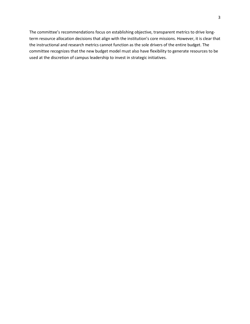The committee's recommendations focus on establishing objective, transparent metrics to drive longterm resource allocation decisions that align with the institution's core missions. However, it is clear that the instructional and research metrics cannot function as the sole drivers of the entire budget. The committee recognizes that the new budget model must also have flexibility to generate resources to be used at the discretion of campus leadership to invest in strategic initiatives.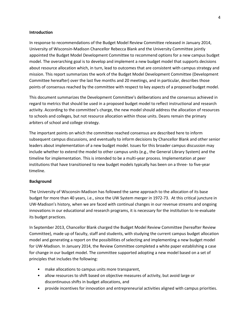#### **Introduction**

In response to recommendations of the Budget Model Review Committee released in January 2014, University of Wisconsin-Madison Chancellor Rebecca Blank and the University Committee jointly appointed the Budget Model Development Committee to recommend options for a new campus budget model. The overarching goal is to develop and implement a new budget model that supports decisions about resource allocation which, in turn, lead to outcomes that are consistent with campus strategy and mission. This report summarizes the work of the Budget Model Development Committee (Development Committee hereafter) over the last five months and 20 meetings, and in particular, describes those points of consensus reached by the committee with respect to key aspects of a proposed budget model.

This document summarizes the Development Committee's deliberations and the consensus achieved in regard to metrics that should be used in a proposed budget model to reflect instructional and research activity. According to the committee's charge, the new model should address the allocation of resources to schools and colleges, but not resource allocation within those units. Deans remain the primary arbiters of school and college strategy.

The important points on which the committee reached consensus are described here to inform subsequent campus discussions, and eventually to inform decisions by Chancellor Blank and other senior leaders about implementation of a new budget model. Issues for this broader campus discussion may include whether to extend the model to other campus units (e.g., the General Library System) and the timeline for implementation. This is intended to be a multi-year process. Implementation at peer institutions that have transitioned to new budget models typically has been on a three- to five-year timeline.

## **Background**

The University of Wisconsin-Madison has followed the same approach to the allocation of its base budget for more than 40 years, i.e., since the UW System merger in 1972-73. At this critical juncture in UW-Madison's history, when we are faced with continual changes in our revenue streams and ongoing innovations in our educational and research programs, it is necessary for the institution to re-evaluate its budget practices.

In September 2013, Chancellor Blank charged the Budget Model Review Committee (hereafter Review Committee), made up of faculty, staff and students, with studying the current campus budget allocation model and generating a report on the possibilities of selecting and implementing a new budget model for UW-Madison. In January 2014, the Review Committee completed a white paper establishing a case for change in our budget model. The committee supported adopting a new model based on a set of principles that includes the following:

- make allocations to campus units more transparent,
- allow resources to shift based on objective measures of activity, but avoid large or discontinuous shifts in budget allocations, and
- provide incentives for innovation and entrepreneurial activities aligned with campus priorities.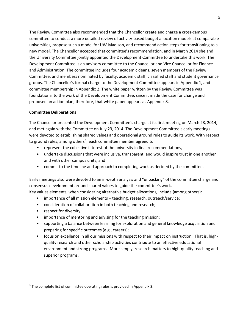The Review Committee also recommended that the Chancellor create and charge a cross-campus committee to conduct a more detailed review of activity-based budget allocation models at comparable universities, propose such a model for UW-Madison, and recommend action steps for transitioning to a new model. The Chancellor accepted that committee's recommendation, and in March 2014 she and the University Committee jointly appointed the Development Committee to undertake this work. The Development Committee is an advisory committee to the Chancellor and Vice Chancellor for Finance and Administration. The committee includes four academic deans, seven members of the Review Committee, and members nominated by faculty, academic staff, classified staff and student governance groups. The Chancellor's formal charge to the Development Committee appears in Appendix 1, and committee membership in Appendix 2. The white paper written by the Review Committee was foundational to the work of the Development Committee, since it made the case for change and proposed an action plan; therefore, that white paper appears as Appendix 8.

## **Committee Deliberations**

The Chancellor presented the Development Committee's charge at its first meeting on March 28, 2014, and met again with the Committee on July 23, 2014. The Development Committee's early meetings were devoted to establishing shared values and operational ground rules to guide its work. With respect to ground rules, among others<sup>[1](#page-4-0)</sup>, each committee member agreed to:

- represent the collective interest of the university in final recommendations,
- undertake discussions that were inclusive, transparent, and would inspire trust in one another and with other campus units, and
- commit to the timeline and approach to completing work as decided by the committee.

Early meetings also were devoted to an in-depth analysis and "unpacking" of the committee charge and consensus development around shared values to guide the committee's work.

Key values elements, when considering alternative budget allocations, include (among others):

- importance of all mission elements teaching, research, outreach/service;
- consideration of collaboration in both teaching and research;
- respect for diversity;
- importance of mentoring and advising for the teaching mission;
- supporting a balance between learning for exploration and general knowledge acquisition and preparing for specific outcomes (e.g., careers);
- focus on excellence in all our missions with respect to their impact on instruction. That is, highquality research and other scholarship activities contribute to an effective educational environment and strong programs. More simply, research matters to high-quality teaching and superior programs.

<span id="page-4-0"></span> $1$  The complete list of committee operating rules is provided in Appendix 3.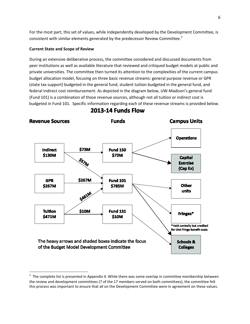For the most part, this set of values, while independently developed by the Development Committee, is consistent with similar elements generated by the predecessor Review Committee.<sup>[2](#page-5-0)</sup>

#### **Current State and Scope of Review**

During an extensive deliberative process, the committee considered and discussed documents from peer institutions as well as available literature that reviewed and critiqued budget models at public and private universities. The committee then turned its attention to the complexities of the current campus budget allocation model, focusing on three basic revenue streams: general purpose revenue or GPR (state tax support) budgeted in the general fund, student tuition budgeted in the general fund, and federal indirect cost reimbursement. As depicted in the diagram below, UW-Madison's general fund (Fund 101) is a combination of those revenue sources, although not all tuition or indirect cost is budgeted in Fund 101. Specific information regarding each of these revenue streams is provided below.



**2013-14 Funds Flow** 

<span id="page-5-0"></span> $\frac{1}{2}$  $2$  The complete list is presented in Appendix 4. While there was some overlap in committee membership between the review and development committees (7 of the 17 members served on both committees), the committee felt this process was important to ensure that all on the Development Committee were in agreement on these values.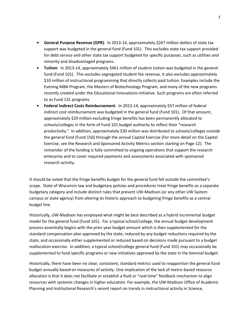- **• General Purpose Revenue (GPR)**: In 2013-14, approximately \$267 million dollars of state tax support was budgeted in the general fund (Fund 101). This excludes state tax support provided for debt service and other state tax support budgeted for specific purposes, such as utilities and minority and disadvantaged programs.
- **• Tuition**: In 2013-14, approximately \$461 million of student tuition was budgeted in the general fund (Fund 101). This excludes segregated student fee revenue. It also excludes approximately \$10 million of instructional programming that directly collects paid tuition. Examples include the Evening MBA Program, the Masters of Biotechnology Program, and many of the new programs recently created under the Educational Innovations initiative. Such programs are often referred to as Fund 131 programs.
- **• Federal Indirect Costs Reimbursement**: In 2013-14, approximately \$57 million of federal indirect cost reimbursement was budgeted in the general fund (Fund 101). Of that amount, approximately \$29 million excluding fringe benefits has been permanently allocated to schools/colleges in the form of Fund 101 budget authority to reflect their "research productivity." In addition, approximately \$30 million was distributed to schools/colleges outside the general fund (Fund 150) through the annual Capital Exercise (For more detail on the Capital Exercise, see the Research and Sponsored Activity Metrics section starting on Page 12). The remainder of the funding is fully committed to ongoing operations that support the research enterprise and to cover required payments and assessments associated with sponsored research activity.

It should be noted that the fringe benefits budget for the general fund fell outside the committee's scope. State of Wisconsin law and budgetary policies and procedures treat fringe benefits as a separate budgetary category and include distinct rules that prevent UW-Madison (or any other UW System campus or state agency) from altering its historic approach to budgeting fringe benefits as a central budget line.

Historically, UW-Madison has employed what might be best described as a hybrid incremental budget model for the general fund (Fund 101). For a typical school/college, the annual budget development process essentially begins with the prior year budget amount which is then supplemented for the standard compensation plan approved by the state, reduced by any budget reductions required by the state, and occasionally either supplemented or reduced based on decisions made pursuant to a budget reallocation exercise. In addition, a typical school/college general fund (Fund 101) may occasionally be supplemented to fund specific programs or new initiatives approved by the state in the biennial budget.

Historically, there have been no clear, consistent, standard metrics used to reapportion the general fund budget annually based on measures of activity. One implication of the lack of metric-based resource allocation is that it does not facilitate or establish a fluid or "real-time" feedback mechanism to align resources with systemic changes in higher education. For example, the UW-Madison Office of Academic Planning and Institutional Research's recent report on trends in instructional activity in Science,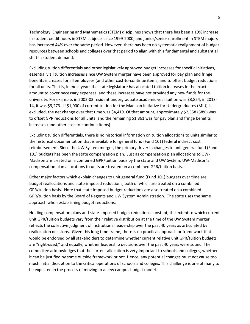Technology, Engineering and Mathematics (STEM) disciplines shows that there has been a 19% increase in student credit hours in STEM subjects since 1999-2000, and junior/senior enrollment in STEM majors has increased 44% over the same period. However, there has been no systematic realignment of budget resources between schools and colleges over that period to align with this fundamental and substantial shift in student demand.

Excluding tuition differentials and other legislatively approved budget increases for specific initiatives, essentially all tuition increases since UW System merger have been approved for pay plan and fringe benefits increases for all employees (and other cost-to-continue items) and to offset budget reductions for all units. That is, in most years the state legislature has allocated tuition increases in the exact amount to cover necessary expenses, and these increases have not provided any new funds for the university. For example, in 2002-03 resident undergraduate academic year tuition was \$3,854; in 2013- 14, it was \$9,273. If \$1,000 of current tuition for the Madison Initiative for Undergraduates (MIU) is excluded, the net change over that time was \$4,419. Of that amount, approximately \$2,558 (58%) was to offset GPR reductions for all units, and the remaining \$1,861 was for pay plan and fringe benefits increases (and other cost-to-continue items).

Excluding tuition differentials, there is no historical information on tuition allocations to units similar to the historical documentation that is available for general fund (Fund 101) federal indirect cost reimbursement. Since the UW System merger, the primary driver in changes to unit general fund (Fund 101) budgets has been the state compensation plan. Just as compensation plan allocations to UW-Madison are treated on a combined GPR/tuition basis by the state and UW System, UW-Madison's compensation plan allocations to units are treated on a combined GPR/tuition basis.

Other major factors which explain changes to unit general fund (Fund 101) budgets over time are budget reallocations and state-imposed reductions, both of which are treated on a combined GPR/tuition basis. Note that state-imposed budget reductions are also treated on a combined GPR/tuition basis by the Board of Regents and UW System Administration. The state uses the same approach when establishing budget reductions.

Holding compensation plans and state-imposed budget reductions constant, the extent to which current unit GPR/tuition budgets vary from their relative distribution at the time of the UW System merger reflects the collective judgment of institutional leadership over the past 40 years as articulated by reallocation decisions. Given this long time frame, there is no practical approach or framework that would be endorsed by all stakeholders to determine whether current relative unit GPR/tuition budgets are "right-sized," and equally, whether leadership decisions over the past 40 years were sound. The committee acknowledges that the current allocation is very important to schools and colleges, whether it can be justified by some outside framework or not. Hence, any potential changes must not cause too much initial disruption to the critical operations of schools and colleges. This challenge is one of many to be expected in the process of moving to a new campus budget model.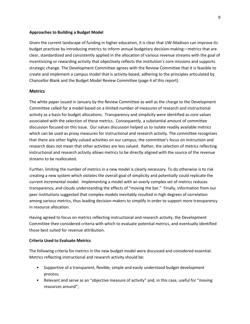#### **Approaches to Building a Budget Model**

Given the current landscape of funding in higher education, it is clear that UW-Madison can improve its budget practices by introducing metrics to inform annual budgetary decision-making—metrics that are clear, standardized and consistently applied in the allocation of various revenue streams with the goal of incentivizing or rewarding activity that objectively reflects the institution's core missions and supports strategic change. The Development Committee agrees with the Review Committee that it is feasible to create and implement a campus model that is activity-based, adhering to the principles articulated by Chancellor Blank and the Budget Model Review Committee (page 4 of this report).

## **Metrics**

The white paper issued in January by the Review Committee as well as the charge to the Development Committee called for a model based on a limited number of measures of research and instructional activity as a basis for budget allocations. Transparency and simplicity were identified as core values associated with the selection of these metrics. Consequently, a substantial amount of committee discussion focused on this issue. Our values discussion helped us to isolate readily available metrics which can be used as proxy measures for instructional and research activity. The committee recognizes that there are other highly valued activities on our campus; the committee's focus on instruction and research does not mean that other activities are less valued. Rather, the selection of metrics reflecting instructional and research activity allows metrics to be directly aligned with the source of the revenue streams to be reallocated.

Further, limiting the number of metrics in a new model is clearly necessary. To do otherwise is to risk creating a new system which violates the overall goal of simplicity and potentially could replicate the current incremental model. Implementing a model with an overly complex set of metrics reduces transparency, and clouds understanding the effects of "moving the bar." Finally, information from our peer institutions suggested that complex models inevitably resulted in high degrees of correlation among various metrics, thus leading decision-makers to simplify in order to support more transparency in resource allocation.

Having agreed to focus on metrics reflecting instructional and research activity, the Development Committee then considered criteria with which to evaluate potential metrics, and eventually identified those best suited for revenue attribution.

## **Criteria Used to Evaluate Metrics**

The following criteria for metrics in the new budget model were discussed and considered essential. Metrics reflecting instructional and research activity should be:

- Supportive of a transparent, flexible, simple and easily understood budget development process;
- Relevant and serve as an "objective measure of activity" and, in this case, useful for "moving" resources around";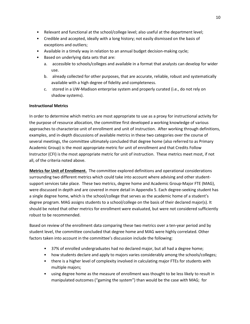- Relevant and functional at the school/college level; also useful at the department level;
- Credible and accepted, ideally with a long history; not easily dismissed on the basis of exceptions and outliers;
- Available in a timely way in relation to an annual budget decision-making cycle;
- Based on underlying data sets that are:
	- a. accessible to schools/colleges and available in a format that analysts can develop for wider use.
	- b. already collected for other purposes, that are accurate, reliable, robust and systematically available with a high degree of fidelity and completeness.
	- c. stored in a UW-Madison enterprise system and properly curated (i.e., do not rely on shadow systems).

## **Instructional Metrics**

In order to determine which metrics are most appropriate to use as a proxy for instructional activity for the purpose of resource allocation, the committee first developed a working knowledge of various approaches to characterize unit of enrollment and unit of instruction. After working through definitions, examples, and in-depth discussions of available metrics in these two categories over the course of several meetings, the committee ultimately concluded that degree home (also referred to as Primary Academic Group) is the most appropriate metric for unit of enrollment and that Credits Follow Instructor (CFI) is the most appropriate metric for unit of instruction. These metrics meet most, if not all, of the criteria noted above.

**Metrics for Unit of Enrollment.** The committee explored definitions and operational considerations surrounding two different metrics which could take into account where advising and other studentsupport services take place. These two metrics, degree home and Academic Group-Major FTE (MAG), were discussed in depth and are covered in more detail in Appendix 5. Each degree-seeking student has a single degree home, which is the school/college that serves as the academic home of a student's degree program. MAG assigns students to a school/college on the basis of their declared major(s). It should be noted that other metrics for enrollment were evaluated, but were not considered sufficiently robust to be recommended.

Based on review of the enrollment data comparing these two metrics over a ten-year period and by student level, the committee concluded that degree home and MAG were highly correlated. Other factors taken into account in the committee's discussion include the following:

- 37% of enrolled undergraduates had no declared major, but all had a degree home;
- how students declare and apply to majors varies considerably among the schools/colleges;
- there is a higher level of complexity involved in calculating major FTEs for students with multiple majors;
- using degree home as the measure of enrollment was thought to be less likely to result in manipulated outcomes ("gaming the system") than would be the case with MAG; for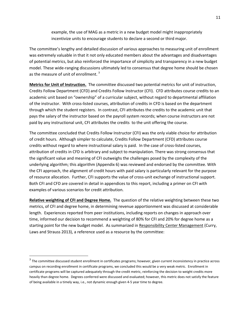example, the use of MAG as a metric in a new budget model might inappropriately incentivize units to encourage students to declare a second or third major.

The committee's lengthy and detailed discussion of various approaches to measuring unit of enrollment was extremely valuable in that it not only educated members about the advantages and disadvantages of potential metrics, but also reinforced the importance of simplicity and transparency in a new budget model. These wide-ranging discussions ultimately led to consensus that degree home should be chosen as the measure of unit of enrollment.<sup>[3](#page-10-0)</sup>

**Metrics for Unit of Instruction.** The committee discussed two potential metrics for unit of instruction, Credits Follow Department (CFD) and Credits Follow Instructor (CFI). CFD attributes course credits to an academic unit based on "ownership" of a curricular subject, without regard to departmental affiliation of the instructor. With cross-listed courses, attribution of credits in CFD is based on the department through which the student registers. In contrast, CFI attributes the credits to the academic unit that pays the salary of the instructor based on the payroll system records; when course instructors are not paid by any instructional unit, CFI attributes the credits to the unit offering the course.

The committee concluded that Credits Follow Instructor (CFI) was the only viable choice for attribution of credit hours. Although simpler to calculate, Credits Follow Department (CFD) attributes course credits without regard to where instructional salary is paid. In the case of cross-listed courses, attribution of credits in CFD is arbitrary and subject to manipulation. There was strong consensus that the significant value and meaning of CFI outweighs the challenges posed by the complexity of the underlying algorithm; this algorithm (Appendix 6) was reviewed and endorsed by the committee. With the CFI approach, the alignment of credit hours with paid salary is particularly relevant for the purpose of resource allocation. Further, CFI supports the value of cross-unit exchange of instructional support. Both CFI and CFD are covered in detail in appendices to this report, including a primer on CFI with examples of various scenarios for credit attribution.

**Relative weighting of CFI and Degree Home.** The question of the relative weighting between these two metrics, of CFI and degree home, in determining revenue apportionment was discussed at considerable length. Experiences reported from peer institutions, including reports on changes in approach over time, informed our decision to recommend a weighting of 80% for CFI and 20% for degree home as a starting point for the new budget model. As summarized in Responsibility Center Management (Curry, Laws and Strauss 2013), a reference used as a resource by the committee:

<span id="page-10-0"></span> $3$  The committee discussed student enrollment in certificates programs; however, given current inconsistency in practice across campus on recording enrollment in certificate programs, we concluded this would be a very weak metric. Enrollment in certificate programs will be captured adequately through the credit metric, reinforcing the decision to weight credits more heavily than degree home. Degrees conferred were discussed and evaluated; however, this metric does not satisfy the feature of being available in a timely way, i.e., not dynamic enough given 4-5 year time to degree.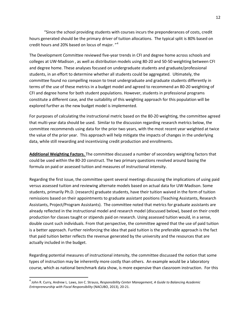"Since the school providing students with courses incurs the preponderances of costs, credit hours generated should be the primary driver of tuition allocations. The typical split is 80% based on credit hours and 20% based on locus of major. "<sup>[4](#page-11-0)</sup>

The Development Committee reviewed five-year trends in CFI and degree home across schools and colleges at UW-Madison , as well as distribution models using 80-20 and 50-50 weighting between CFI and degree home. These analyses focused on undergraduate students and graduate/professional students, in an effort to determine whether all students could be aggregated. Ultimately, the committee found no compelling reason to treat undergraduate and graduate students differently in terms of the use of these metrics in a budget model and agreed to recommend an 80-20 weighting of CFI and degree home for both student populations. However, students in professional programs constitute a different case, and the suitability of this weighting approach for this population will be explored further as the new budget model is implemented.

For purposes of calculating the instructional metric based on the 80-20 weighting, the committee agreed that multi-year data should be used. Similar to the discussion regarding research metrics below, the committee recommends using data for the prior two years, with the most recent year weighted at twice the value of the prior year. This approach will help mitigate the impacts of changes in the underlying data, while still rewarding and incentivizing credit production and enrollments.

**Additional Weighting Factors.** The committee discussed a number of secondary weighting factors that could be used within the 80-20 construct. The two primary questions revolved around basing the formula on paid or assessed tuition and measures of instructional intensity.

Regarding the first issue, the committee spent several meetings discussing the implications of using paid versus assessed tuition and reviewing alternate models based on actual data for UW-Madison. Some students, primarily Ph.D. (research) graduate students, have their tuition waived in the form of tuition remissions based on their appointments to graduate assistant positions (Teaching Assistants, Research Assistants, Project/Program Assistants). The committee noted that metrics for graduate assistants are already reflected in the instructional model and research model (discussed below), based on their credit production for classes taught or stipends paid on research. Using assessed tuition would, in a sense, double count such individuals. From that perspective, the committee agreed that the use of paid tuition is a better approach. Further reinforcing the idea that paid tuition is the preferable approach is the fact that paid tuition better reflects the revenue generated by the university and the resources that are actually included in the budget.

Regarding potential measures of instructional intensity, the committee discussed the notion that some types of instruction may be inherently more costly than others. An example would be a laboratory course, which as national benchmark data show, is more expensive than classroom instruction. For this

<span id="page-11-0"></span> <sup>4</sup> John R. Curry, Andrew L. Laws, Jon C. Strauss, *Responsibility Center Management, <sup>A</sup> Guide to Balancing Academic Entrepreneurship with Fiscal Responsibility* (NACUBO, 2013), 20-21.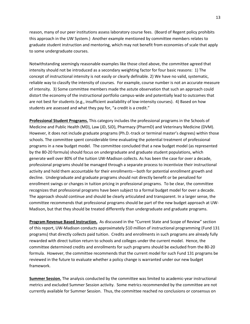reason, many of our peer institutions assess laboratory course fees. (Board of Regent policy prohibits this approach in the UW System.) Another example mentioned by committee members relates to graduate student instruction and mentoring, which may not benefit from economies of scale that apply to some undergraduate courses.

Notwithstanding seemingly reasonable examples like those cited above, the committee agreed that intensity should not be introduced as a secondary weighting factor for four basic reasons: 1) The concept of instructional intensity is not easily or clearly definable. 2) We have no valid, systematic, reliable way to classify the intensity of courses. For example, course number is not an accurate measure of intensity. 3) Some committee members made the astute observation that such an approach could distort the economy of the instructional portfolio campus-wide and potentially lead to outcomes that are not best for students (e.g., insufficient availability of low-intensity courses). 4) Based on how students are assessed and what they pay for, "a credit is a credit."

**Professional Student Programs.** This category includes the professional programs in the Schools of Medicine and Public Health (MD), Law (JD, SJD), Pharmacy (PharmD) and Veterinary Medicine (DVM). However, it does not include graduate programs (Ph.D.-track or terminal master's degrees) within those schools. The committee spent considerable time evaluating the potential treatment of professional programs in a new budget model. The committee concluded that a new budget model (as represented by the 80-20 formula) should focus on undergraduate and graduate student populations, which generate well over 80% of the tuition UW-Madison collects. As has been the case for over a decade, professional programs should be managed through a separate process to incentivize their instructional activity and hold them accountable for their enrollments—both for potential enrollment growth and decline. Undergraduate and graduate programs should not directly benefit or be penalized for enrollment swings or changes in tuition pricing in professional programs. To be clear, the committee recognizes that professional programs have been subject to a formal budget model for over a decade. The approach should continue and should be clearly articulated and transparent. In a larger sense, the committee recommends that professional programs should be part of the new budget approach at UW-Madison, but that they should be treated differently than undergraduate and graduate programs.

**Program Revenue Based Instruction.** As discussed in the "Current State and Scope of Review" section of this report, UW-Madison conducts approximately \$10 million of instructional programming (Fund 131 programs) that directly collects paid tuition. Credits and enrollments in such programs are already fully rewarded with direct tuition return to schools and colleges under the current model. Hence, the committee determined credits and enrollments for such programs should be excluded from the 80-20 formula. However, the committee recommends that the current model for such Fund 131 programs be reviewed in the future to evaluate whether a policy change is warranted under our new budget framework.

**Summer Session.** The analysis conducted by the committee was limited to academic-year instructional metrics and excluded Summer Session activity. Some metrics recommended by the committee are not currently available for Summer Session. Thus, the committee reached no conclusions or consensus on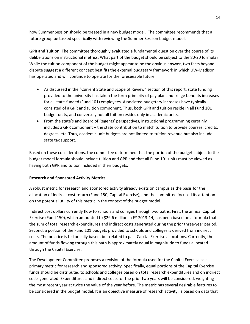how Summer Session should be treated in a new budget model. The committee recommends that a future group be tasked specifically with reviewing the Summer Session budget model.

**GPR and Tuition.** The committee thoroughly evaluated a fundamental question over the course of its deliberations on instructional metrics: What part of the budget should be subject to the 80-20 formula? While the tuition component of the budget might appear to be the obvious answer, two facts beyond dispute suggest a different concept best fits the external budgetary framework in which UW-Madison has operated and will continue to operate for the foreseeable future.

- As discussed in the "Current State and Scope of Review" section of this report, state funding provided to the university has taken the form primarily of pay plan and fringe benefits increases for all state-funded (Fund 101) employees. Associated budgetary increases have typically consisted of a GPR and tuition component. Thus, both GPR and tuition reside in all Fund 101 budget units, and conversely not all tuition resides only in academic units.
- From the state's and Board of Regents' perspectives, instructional programming certainly includes a GPR component – the state contribution to match tuition to provide courses, credits, degrees, etc. Thus, academic unit budgets are not limited to tuition revenue but also include state tax support.

Based on these considerations, the committee determined that the portion of the budget subject to the budget model formula should include tuition and GPR and that all Fund 101 units must be viewed as having both GPR and tuition included in their budgets.

## **Research and Sponsored Activity Metrics**

A robust metric for research and sponsored activity already exists on campus as the basis for the allocation of indirect cost return (Fund 150, Capital Exercise), and the committee focused its attention on the potential utility of this metric in the context of the budget model.

Indirect cost dollars currently flow to schools and colleges through two paths. First, the annual Capital Exercise (Fund 150), which amounted to \$29.6 million in FY 2013-14, has been based on a formula that is the sum of total research expenditures and indirect costs generated during the prior three-year period. Second, a portion of the Fund 101 budgets provided to schools and colleges is derived from indirect costs. The practice is historically based, but related to past Capital Exercise allocations. Currently, the amount of funds flowing through this path is approximately equal in magnitude to funds allocated through the Capital Exercise.

The Development Committee proposes a revision of the formula used for the Capital Exercise as a primary metric for research and sponsored activity. Specifically, equal portions of the Capital Exercise funds should be distributed to schools and colleges based on total research expenditures and on indirect costs generated. Expenditures and indirect costs for the prior two years will be considered, weighting the most recent year at twice the value of the year before. The metric has several desirable features to be considered in the budget model. It is an objective measure of research activity, is based on data that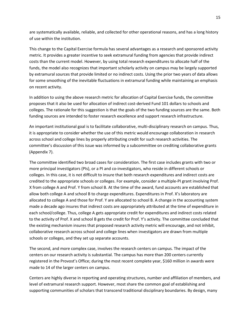are systematically available, reliable, and collected for other operational reasons, and has a long history of use within the institution.

This change to the Capital Exercise formula has several advantages as a research and sponsored activity metric. It provides a greater incentive to seek extramural funding from agencies that provide indirect costs than the current model. However, by using total research expenditures to allocate half of the funds, the model also recognizes that important scholarly activity on campus may be largely supported by extramural sources that provide limited or no indirect costs. Using the prior two years of data allows for some smoothing of the inevitable fluctuations in extramural funding while maintaining an emphasis on recent activity.

In addition to using the above research metric for allocation of Capital Exercise funds, the committee proposes that it also be used for allocation of indirect cost-derived Fund 101 dollars to schools and colleges. The rationale for this suggestion is that the goals of the two funding sources are the same. Both funding sources are intended to foster research excellence and support research infrastructure.

An important institutional goal is to facilitate collaborative, multi-disciplinary research on campus. Thus, it is appropriate to consider whether the use of this metric would encourage collaboration in research across school and college lines by properly attributing credit for such research activities. The committee's discussion of this issue was informed by a subcommittee on crediting collaborative grants (Appendix 7).

The committee identified two broad cases for consideration. The first case includes grants with two or more principal investigators (PIs), or a PI and co-investigators, who reside in different schools or colleges. In this case, it is not difficult to insure that both research expenditures and indirect costs are credited to the appropriate schools or colleges. For example, consider a multiple-PI grant involving Prof. X from college A and Prof. Y from school B. At the time of the award, fund accounts are established that allow both college A and school B to charge expenditures. Expenditures in Prof. X's laboratory are allocated to college A and those for Prof. Y are allocated to school B. A change in the accounting system made a decade ago insures that indirect costs are appropriately attributed at the time of expenditure in each school/college. Thus, college A gets appropriate credit for expenditures and indirect costs related to the activity of Prof. X and school B gets the credit for Prof. Y's activity. The committee concluded that the existing mechanism insures that proposed research activity metric will encourage, and not inhibit, collaborative research across school and college lines when investigators are drawn from multiple schools or colleges, and they set up separate accounts.

The second, and more complex case, involves the research centers on campus. The impact of the centers on our research activity is substantial. The campus has more than 200 centers currently registered in the Provost's Office; during the most recent complete year, \$160 million in awards were made to 14 of the larger centers on campus.

Centers are highly diverse in reporting and operating structures, number and affiliation of members, and level of extramural research support. However, most share the common goal of establishing and supporting communities of scholars that transcend traditional disciplinary boundaries. By design, many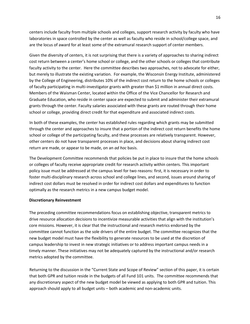centers include faculty from multiple schools and colleges, support research activity by faculty who have laboratories in space controlled by the center as well as faculty who reside in school/college space, and are the locus of award for at least some of the extramural research support of center members.

Given the diversity of centers, it is not surprising that there is a variety of approaches to sharing indirect cost return between a center's home school or college, and the other schools or colleges that contribute faculty activity to the center. Here the committee describes two approaches, not to advocate for either, but merely to illustrate the existing variation. For example, the Wisconsin Energy Institute, administered by the College of Engineering, distributes 10% of the indirect cost return to the home schools or colleges of faculty participating in multi-investigator grants with greater than \$1 million in annual direct costs. Members of the Waisman Center, located within the Office of the Vice Chancellor for Research and Graduate Education, who reside in center space are expected to submit and administer their extramural grants through the center. Faculty salaries associated with these grants are routed through their home school or college, providing direct credit for that expenditure and associated indirect costs.

In both of these examples, the center has established rules regarding which grants may be submitted through the center and approaches to insure that a portion of the indirect cost return benefits the home school or college of the participating faculty, and these processes are relatively transparent. However, other centers do not have transparent processes in place, and decisions about sharing indirect cost return are made, or appear to be made, on an *ad hoc* basis.

The Development Committee recommends that policies be put in place to insure that the home schools or colleges of faculty receive appropriate credit for research activity within centers. This important policy issue must be addressed at the campus level for two reasons: first, it is necessary in order to foster multi-disciplinary research across school and college lines, and second, issues around sharing of indirect cost dollars must be resolved in order for indirect cost dollars and expenditures to function optimally as the research metrics in a new campus budget model.

## **Discretionary Reinvestment**

The preceding committee recommendations focus on establishing objective, transparent metrics to drive resource allocation decisions to incentivize measurable activities that align with the institution's core missions. However, it is clear that the instructional and research metrics endorsed by the committee cannot function as the sole drivers of the entire budget. The committee recognizes that the new budget model must have the flexibility to generate resources to be used at the discretion of campus leadership to invest in new strategic initiatives or to address important campus needs in a timely manner. These initiatives may not be adequately captured by the instructional and/or research metrics adopted by the committee.

Returning to the discussion in the "Current State and Scope of Review" section of this paper, it is certain that both GPR and tuition reside in the budgets of all Fund 101 units. The committee recommends that any discretionary aspect of the new budget model be viewed as applying to both GPR and tuition. This approach should apply to all budget units – both academic and non-academic units.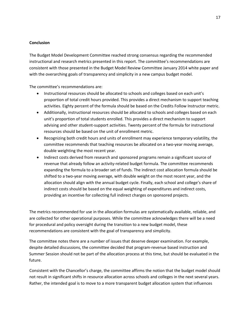## **Conclusion**

The Budget Model Development Committee reached strong consensus regarding the recommended instructional and research metrics presented in this report. The committee's recommendations are consistent with those presented in the Budget Model Review Committee January 2014 white paper and with the overarching goals of transparency and simplicity in a new campus budget model.

The committee's recommendations are:

- Instructional resources should be allocated to schools and colleges based on each unit's proportion of total credit hours provided. This provides a direct mechanism to support teaching activities. Eighty percent of the formula should be based on the Credits Follow Instructor metric.
- Additionally, instructional resources should be allocated to schools and colleges based on each unit's proportion of total students enrolled. This provides a direct mechanism to support advising and other student-support activities. Twenty percent of the formula for instructional resources should be based on the unit of enrollment metric.
- Recognizing both credit hours and units of enrollment may experience temporary volatility, the committee recommends that teaching resources be allocated on a two-year moving average, double weighting the most recent year.
- Indirect costs derived from research and sponsored programs remain a significant source of revenue that already follow an activity-related budget formula. The committee recommends expanding the formula to a broader set of funds. The indirect cost allocation formula should be shifted to a two-year moving average, with double weight on the most recent year, and the allocation should align with the annual budget cycle. Finally, each school and college's share of indirect costs should be based on the equal weighting of expenditures and indirect costs, providing an incentive for collecting full indirect charges on sponsored projects.

The metrics recommended for use in the allocation formulas are systematically available, reliable, and are collected for other operational purposes. While the committee acknowledges there will be a need for procedural and policy oversight during the transition to a new budget model, these recommendations are consistent with the goal of transparency and simplicity.

The committee notes there are a number of issues that deserve deeper examination. For example, despite detailed discussions, the committee decided that program-revenue based instruction and Summer Session should not be part of the allocation process at this time, but should be evaluated in the future.

Consistent with the Chancellor's charge, the committee affirms the notion that the budget model should not result in significant shifts in resource allocation across schools and colleges in the next several years. Rather, the intended goal is to move to a more transparent budget allocation system that influences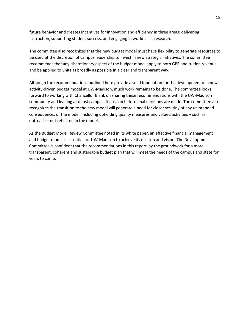future behavior and creates incentives for innovation and efficiency in three areas: delivering instruction, supporting student success, and engaging in world-class research.

The committee also recognizes that the new budget model must have flexibility to generate resources to be used at the discretion of campus leadership to invest in new strategic initiatives. The committee recommends that any discretionary aspect of the budget model apply to both GPR and tuition revenue and be applied to units as broadly as possible in a clear and transparent way.

Although the recommendations outlined here provide a solid foundation for the development of a new activity-driven budget model at UW-Madison, much work remains to be done. The committee looks forward to working with Chancellor Blank on sharing these recommendations with the UW-Madison community and leading a robust campus discussion before final decisions are made. The committee also recognizes the transition to the new model will generate a need for closer scrutiny of any unintended consequences of the model, including upholding quality measures and valued activities – such as outreach – not reflected in the model.

As the Budget Model Review Committee noted in its white paper, an effective financial management and budget model is essential for UW-Madison to achieve its mission and vision. The Development Committee is confident that the recommendations in this report lay the groundwork for a more transparent, coherent and sustainable budget plan that will meet the needs of the campus and state for years to come.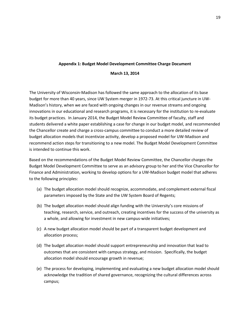## **Appendix 1: Budget Model Development Committee Charge Document**

## **March 13, 2014**

The University of Wisconsin-Madison has followed the same approach to the allocation of its base budget for more than 40 years, since UW System merger in 1972-73. At this critical juncture in UW-Madison's history, when we are faced with ongoing changes in our revenue streams and ongoing innovations in our educational and research programs, it is necessary for the institution to re-evaluate its budget practices. In January 2014, the Budget Model Review Committee of faculty, staff and students delivered a white paper establishing a case for change in our budget model, and recommended the Chancellor create and charge a cross-campus committee to conduct a more detailed review of budget allocation models that incentivize activity, develop a proposed model for UW-Madison and recommend action steps for transitioning to a new model. The Budget Model Development Committee is intended to continue this work.

Based on the recommendations of the Budget Model Review Committee, the Chancellor charges the Budget Model Development Committee to serve as an advisory group to her and the Vice Chancellor for Finance and Administration, working to develop options for a UW-Madison budget model that adheres to the following principles:

- (a) The budget allocation model should recognize, accommodate, and complement external fiscal parameters imposed by the State and the UW System Board of Regents;
- (b) The budget allocation model should align funding with the University's core missions of teaching, research, service, and outreach, creating incentives for the success of the university as a whole, and allowing for investment in new campus-wide initiatives;
- (c) A new budget allocation model should be part of a transparent budget development and allocation process;
- (d) The budget allocation model should support entrepreneurship and innovation that lead to outcomes that are consistent with campus strategy, and mission. Specifically, the budget allocation model should encourage growth in revenue;
- (e) The process for developing, implementing and evaluating a new budget allocation model should acknowledge the tradition of shared governance, recognizing the cultural differences across campus;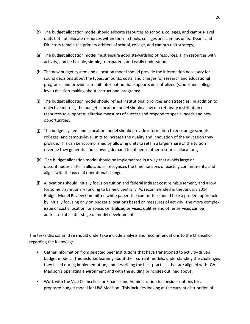- (f) The budget allocation model should allocate resources to schools, colleges, and campus-level units but not allocate resources within those schools, colleges and campus units. Deans and Directors remain the primary arbiters of school, college, and campus unit strategy;
- (g) The budget allocation model must ensure good stewardship of resources, align resources with activity, and be flexible, simple, transparent, and easily understood;
- (h) The new budget system and allocation model should provide the information necessary for sound decisions about the types, amounts, costs, and charges for research and educational programs, and provide sub-unit information that supports decentralized (school and college level) decision-making about instructional programs;
- (i) The budget allocation model should reflect institutional priorities and strategies. In addition to objective metrics, the budget allocation model should allow discretionary distribution of resources to support qualitative measures of success and respond to special needs and new opportunities;
- (j) The budget system and allocation model should provide information to encourage schools, colleges, and campus-level units to increase the quality and innovation of the education they provide. This can be accomplished by allowing units to retain a larger share of the tuition revenue they generate and allowing demand to influence other resource allocations;
- (k) The budget allocation model should be implemented in a way that avoids large or discontinuous shifts in allocations, recognizes the time horizons of existing commitments, and aligns with the pace of operational change;
- (l) Allocations should initially focus on tuition and federal indirect cost reimbursement, and allow for some discretionary funding to be held centrally. As recommended in the January 2014 Budget Model Review Committee white paper, the committee should take a prudent approach by initially focusing only on budget allocations based on measures of activity. The more complex issue of cost allocation for space, centralized services, utilities and other services can be addressed at a later stage of model development.

The tasks this committee should undertake include analysis and recommendations to the Chancellor regarding the following:

- Gather information from selected peer institutions that have transitioned to activity-driven budget models. This includes learning about their current models; understanding the challenges they faced during implementation; and describing the best practices that are aligned with UW-Madison's operating environment and with the guiding principles outlined above;
- Work with the Vice Chancellor for Finance and Administration to consider options for a proposed budget model for UW-Madison. This includes looking at the current distribution of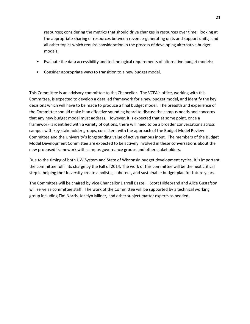resources; considering the metrics that should drive changes in resources over time; looking at the appropriate sharing of resources between revenue-generating units and support units; and all other topics which require consideration in the process of developing alternative budget models;

- Evaluate the data accessibility and technological requirements of alternative budget models;
- Consider appropriate ways to transition to a new budget model.

This Committee is an advisory committee to the Chancellor. The VCFA's office, working with this Committee, is expected to develop a detailed framework for a new budget model, and identify the key decisions which will have to be made to produce a final budget model. The breadth and experience of the Committee should make it an effective sounding board to discuss the campus needs and concerns that any new budget model must address. However, it is expected that at some point, once a framework is identified with a variety of options, there will need to be a broader conversations across campus with key stakeholder groups, consistent with the approach of the Budget Model Review Committee and the University's longstanding value of active campus input. The members of the Budget Model Development Committee are expected to be actively involved in these conversations about the new proposed framework with campus governance groups and other stakeholders.

Due to the timing of both UW System and State of Wisconsin budget development cycles, it is important the committee fulfill its charge by the Fall of 2014. The work of this committee will be the next critical step in helping the University create a holistic, coherent, and sustainable budget plan for future years.

The Committee will be chaired by Vice Chancellor Darrell Bazzell. Scott Hildebrand and Alice Gustafson will serve as committee staff. The work of the Committee will be supported by a technical working group including Tim Norris, Jocelyn Milner, and other subject matter experts as needed.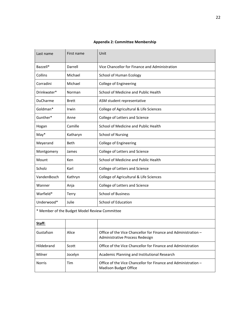| Last name   | First name                                    | Unit                                                                                              |
|-------------|-----------------------------------------------|---------------------------------------------------------------------------------------------------|
| Bazzell*    | Darrell                                       | Vice Chancellor for Finance and Administration                                                    |
| Collins     | Michael                                       | School of Human Ecology                                                                           |
| Corradini   | Michael                                       | College of Engineering                                                                            |
| Drinkwater* | Norman                                        | School of Medicine and Public Health                                                              |
| DuCharme    | Brett                                         | ASM student representative                                                                        |
| Goldman*    | Irwin                                         | College of Agricultural & Life Sciences                                                           |
| Gunther*    | Anne                                          | College of Letters and Science                                                                    |
| Hogan       | Camille                                       | School of Medicine and Public Health                                                              |
| $May*$      | Katharyn                                      | <b>School of Nursing</b>                                                                          |
| Meyerand    | Beth                                          | College of Engineering                                                                            |
| Montgomery  | James                                         | College of Letters and Science                                                                    |
| Mount       | Ken                                           | School of Medicine and Public Health                                                              |
| Scholz      | Karl                                          | College of Letters and Science                                                                    |
| VandenBosch | Kathryn                                       | College of Agricultural & Life Sciences                                                           |
| Wanner      | Anja                                          | College of Letters and Science                                                                    |
| Warfield*   | Terry                                         | <b>School of Business</b>                                                                         |
| Underwood*  | Julie                                         | School of Education                                                                               |
|             | * Member of the Budget Model Review Committee |                                                                                                   |
| Staff:      |                                               |                                                                                                   |
| Gustafson   | Alice                                         | Office of the Vice Chancellor for Finance and Administration -<br>Administrative Process Redesign |
| Hildebrand  | Scott                                         | Office of the Vice Chancellor for Finance and Administration                                      |
| Milner      | Jocelyn                                       | Academic Planning and Institutional Research                                                      |
| Norris      | Tim                                           | Office of the Vice Chancellor for Finance and Administration -<br>Madison Budget Office           |

## **Appendix 2: Committee Membership**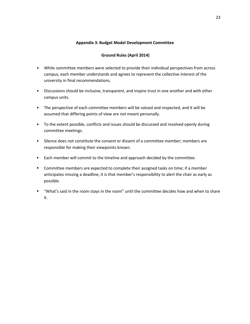## **Appendix 3: Budget Model Development Committee**

## **Ground Rules (April 2014)**

- While committee members were selected to provide their individual perspectives from across campus, each member understands and agrees to represent the collective interest of the university in final recommendations.
- Discussions should be inclusive, transparent, and inspire trust in one another and with other campus units.
- The perspective of each committee members will be valued and respected, and it will be assumed that differing points of view are not meant personally.
- To the extent possible, conflicts and issues should be discussed and resolved openly during committee meetings.
- Silence does not constitute the consent or dissent of a committee member; members are responsible for making their viewpoints known.
- Each member will commit to the timeline and approach decided by the committee.
- **•** Committee members are expected to complete their assigned tasks on time; if a member anticipates missing a deadline, it is that member's responsibility to alert the chair as early as possible.
- **•** "What's said in the room stays in the room" until the committee decides how and when to share it.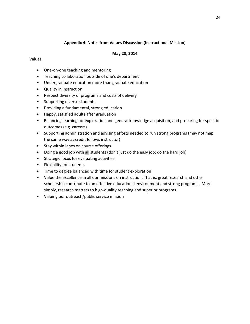## **Appendix 4: Notes from Values Discussion (Instructional Mission)**

## **May 28, 2014**

## Values

- One-on-one teaching and mentoring
- Teaching collaboration outside of one's department
- Undergraduate education more than graduate education
- Quality in instruction
- Respect diversity of programs and costs of delivery
- Supporting diverse students
- Providing a fundamental, strong education
- Happy, satisfied adults after graduation
- Balancing learning for exploration and general knowledge acquisition, and preparing for specific outcomes (e.g. careers)
- Supporting administration and advising efforts needed to run strong programs (may not map the same way as credit follows instructor)
- Stay within lanes on course offerings
- Doing a good job with all students (don't just do the easy job; do the hard job)
- Strategic focus for evaluating activities
- Flexibility for students
- Time to degree balanced with time for student exploration
- Value the excellence in all our missions on instruction. That is, great research and other scholarship contribute to an effective educational environment and strong programs. More simply, research matters to high-quality teaching and superior programs.
- Valuing our outreach/public service mission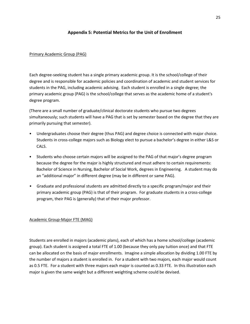## **Appendix 5: Potential Metrics for the Unit of Enrollment**

## Primary Academic Group (PAG)

Each degree-seeking student has a single primary academic group. It is the school/college of their degree and is responsible for academic policies and coordination of academic and student services for students in the PAG, including academic advising. Each student is enrolled in a single degree; the primary academic group (PAG) is the school/college that serves as the academic home of a student's degree program.

(There are a small number of graduate/clinical doctorate students who pursue two degrees simultaneously; such students will have a PAG that is set by semester based on the degree that they are primarily pursuing that semester).

- Undergraduates choose their degree (thus PAG) and degree choice is connected with major choice. Students in cross-college majors such as Biology elect to pursue a bachelor's degree in either L&S or CALS.
- Students who choose certain majors will be assigned to the PAG of that major's degree program because the degree for the major is highly structured and must adhere to certain requirements: Bachelor of Science in Nursing, Bachelor of Social Work, degrees in Engineering. A student may do an "additional major" in different degree (may be in different or same PAG).
- Graduate and professional students are admitted directly to a specific program/major and their primary academic group (PAG) is that of their program. For graduate students in a cross-college program, their PAG is (generally) that of their major professor.

## Academic Group-Major FTE (MAG)

Students are enrolled in majors (academic plans), each of which has a home school/college (academic group). Each student is assigned a total FTE of 1.00 (because they only pay tuition once) and that FTE can be allocated on the basis of major enrollments. Imagine a simple allocation by dividing 1.00 FTE by the number of majors a student is enrolled in. For a student with two majors, each major would count as 0.5 FTE. For a student with three majors each major is counted as 0.33 FTE. In this illustration each major is given the same weight but a different weighting scheme could be devised.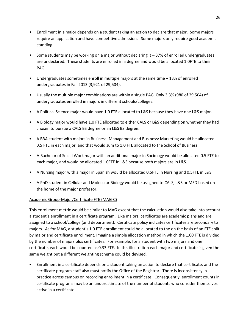- Enrollment in a major depends on a student taking an action to declare that major. Some majors require an application and have competitive admission. Some majors only require good academic standing.
- Some students may be working on a major without declaring it 37% of enrolled undergraduates are undeclared. These students are enrolled in a degree and would be allocated 1.0FTE to their PAG.
- Undergraduates sometimes enroll in multiple majors at the same time 13% of enrolled undergraduates in Fall 2013 (3,921 of 29,504).
- Usually the multiple major combinations are within a single PAG. Only 3.3% (980 of 29,504) of undergraduates enrolled in majors in different schools/colleges.
- A Political Science major would have 1.0 FTE allocated to L&S because they have one L&S major.
- A Biology major would have 1.0 FTE allocated to either CALS or L&S depending on whether they had chosen to pursue a CALS BS degree or an L&S BS degree.
- A BBA student with majors in Business: Management and Business: Marketing would be allocated 0.5 FTE in each major, and that would sum to 1.0 FTE allocated to the School of Business.
- A Bachelor of Social Work major with an additional major in Sociology would be allocated 0.5 FTE to each major, and would be allocated 1.0FTE in L&S because both majors are in L&S.
- A Nursing major with a major in Spanish would be allocated 0.5FTE in Nursing and 0.5FTE in L&S.
- A PhD student in Cellular and Molecular Biology would be assigned to CALS, L&S or MED based on the home of the major professor.

## Academic Group-Major/Certificate FTE (MAG-C)

This enrollment metric would be similar to MAG except that the calculation would also take into account a student's enrollment in a certificate program. Like majors, certificates are academic plans and are assigned to a school/college (and department). Certificate policy indicates certificates are secondary to majors. As for MAG, a student's 1.0 FTE enrollment could be allocated to the on the basis of an FTE split by major and certificate enrollment. Imagine a simple allocation method in which the 1.00 FTE is divided by the number of majors plus certificates. For example, for a student with two majors and one certificate, each would be counted as 0.33 FTE. In this illustration each major and certificate is given the same weight but a different weighting scheme could be devised.

• Enrollment in a certificate depends on a student taking an action to declare that certificate, and the certificate program staff also must notify the Office of the Registrar. There is inconsistency in practice across campus on recording enrollment in a certificate. Consequently, enrollment counts in certificate programs may be an underestimate of the number of students who consider themselves active in a certificate.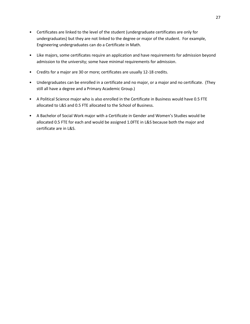- Certificates are linked to the level of the student (undergraduate certificates are only for undergraduates) but they are not linked to the degree or major of the student. For example, Engineering undergraduates can do a Certificate in Math.
- Like majors, some certificates require an application and have requirements for admission beyond admission to the university; some have minimal requirements for admission.
- Credits for a major are 30 or more; certificates are usually 12-18 credits.
- Undergraduates can be enrolled in a certificate and no major, or a major and no certificate. (They still all have a degree and a Primary Academic Group.)
- A Political Science major who is also enrolled in the Certificate in Business would have 0.5 FTE allocated to L&S and 0.5 FTE allocated to the School of Business.
- A Bachelor of Social Work major with a Certificate in Gender and Women's Studies would be allocated 0.5 FTE for each and would be assigned 1.0FTE in L&S because both the major and certificate are in L&S.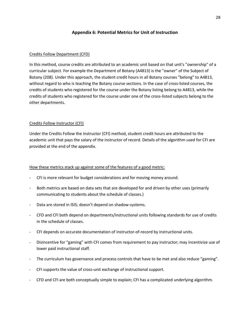## **Appendix 6: Potential Metrics for Unit of Instruction**

## Credits Follow Department (CFD)

In this method, course credits are attributed to an academic unit based on that unit's "ownership" of a curricular subject. For example the Department of Botany (A4813) is the "owner" of the Subject of Botany (208). Under this approach, the student credit hours in all Botany courses "belong" to A4813, without regard to who is teaching the Botany course sections. In the case of cross-listed courses, the credits of students who registered for the course under the Botany listing belong to A4813, while the credits of students who registered for the course under one of the cross-listed subjects belong to the other departments.

## Credits Follow Instructor (CFI)

Under the Credits Follow the Instructor (CFI) method, student credit hours are attributed to the academic unit that pays the salary of the instructor of record. Details of the algorithm used for CFI are provided at the end of the appendix.

## How these metrics stack up against some of the features of a good metric:

- CFI is more relevant for budget considerations and for moving money around.
- Both metrics are based on data sets that are developed for and driven by other uses (primarily communicating to students about the schedule of classes.)
- Data are stored in ISIS; doesn't depend on shadow-systems.
- CFD and CFI both depend on departments/instructional units following standards for use of credits in the schedule of classes.
- CFI depends on accurate documentation of instructor-of-record by instructional units.
- Disincentive for "gaming" with CFI comes from requirement to pay instructor; may incentivize use of lower paid instructional staff.
- The curriculum has governance and process controls that have to be met and also reduce "gaming".
- CFI supports the value of cross-unit exchange of instructional support.
- CFD and CFI are both conceptually simple to explain; CFI has a complicated underlying algorithm.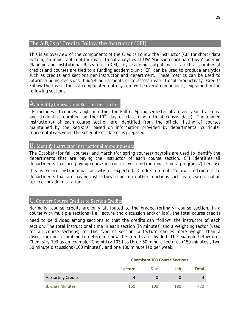# The A,B,Cs of Credits Follow the Instructor (CFI)

This is an overview of the components of the Credits Follow the Instructor (CFI for short) data system, an important tool for instructional analytics at UW-Madison coordinated by Academic Planning and Institutional Research. In CFI, key academic output metrics such as number of credits and courses are tied to a funding academic unit. CFI can be used to produce analytics such as credits and sections per instructor and department. These metrics can be used to inform funding decisions, budget adjustments or to assess instructional productivity. Credits Follow the Instructor is a complicated data system with several components, explained in the following sections.

# A. Identify Courses and Section Instructors

CFI includes all courses taught in either the Fall or Spring semester of a given year if at least one student is enrolled on the 10<sup>th</sup> day of class (the official census date). The named instructor(s) of each course section are identified from the official listing of courses maintained by the Registrar based on information provided by departmental curricular representatives when the schedule of classes is prepared.

# B. Identify Instructor Instructional Appointments

The October (for fall courses) and March (for spring courses) payrolls are used to identify the departments that are paying the instructor of each course section. CFI identifies all departments that are paying course instructors with instructional funds (program 2) because this is where instructional activity is expected. Credits do not "follow" instructors to departments that are paying instructors to perform other functions such as research, public service, or administration.

## C. Convert Course Credits to Section Credits

Normally, course credits are only attributed to the graded (primary) course section. In a course with multiple sections (i.e. lecture and discussion and/or lab), the total course credits

need to be divided among sections so that the credits can "follow" the instructor of each section. The total instructional time in each section (in minutes) and a weighting factor (used for all course sections) for the type of section (a lecture carries more weight than a discussion) both combine to determine how the credits are divided. The example below uses Chemistry 103 as an example. Chemistry 103 has three 50 minute lectures (150 minutes), two 50 minute discussions (100 minutes), and one 180 minute lab per week.

|                         | Chemistry 103 Course Sections |             |     |              |
|-------------------------|-------------------------------|-------------|-----|--------------|
|                         | <b>Lecture</b>                | <b>Disc</b> | Lab | <b>Total</b> |
| A. Starting Credits     | Δ                             | $\Omega$    |     | 4            |
| <b>B. Class Minutes</b> | 150                           | 100         | 180 | 430.         |

## **Chemistry 103 Course Sections**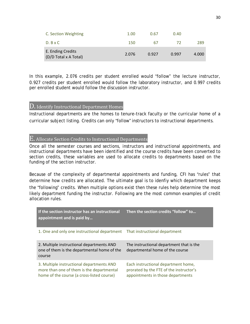| C. Section Weighting                       | 1.00  | 0.67  | 0.40  |       |
|--------------------------------------------|-------|-------|-------|-------|
| $D. B \times C$                            | 150   | 67    | 72    | 289   |
| E. Ending Credits<br>(D/D Total x A Total) | 2.076 | 0.927 | 0.997 | 4.000 |

In this example, 2.076 credits per student enrolled would "follow" the lecture instructor, 0.927 credits per student enrolled would follow the laboratory instructor, and 0.997 credits per enrolled student would follow the discussion instructor.

## D. Identify Instructional Department Homes

Instructional departments are the homes to tenure-track faculty or the curricular home of a curricular subject listing. Credits can only "follow" instructors to instructional departments.

# E. Allocate Section Credits to Instructional Departments

Once all the semester courses and sections, instructors and instructional appointments, and instructional departments have been identified and the course credits have been converted to section credits, these variables are used to allocate credits to departments based on the funding of the section instructor.

Because of the complexity of departmental appointments and funding, CFI has "rules" that determine how credits are allocated. The ultimate goal is to idenfiy which department keeps the "following" credits. When multiple options exist then these rules help determine the most likely department funding the instructor. Following are the most common examples of credit allocation rules.

| If the section instructor has an instructional<br>appointment and is paid by                                                         | Then the section credits "follow" to                                                                                |
|--------------------------------------------------------------------------------------------------------------------------------------|---------------------------------------------------------------------------------------------------------------------|
| 1. One and only one instructional department                                                                                         | That instructional department                                                                                       |
| 2. Multiple instructional departments AND<br>one of them is the departmental home of the<br>course                                   | The instructional department that is the<br>departmental home of the course                                         |
| 3. Multiple instructional departments AND<br>more than one of them is the departmental<br>home of the course (a cross-listed course) | Each instructional department home,<br>prorated by the FTE of the instructor's<br>appointments in those departments |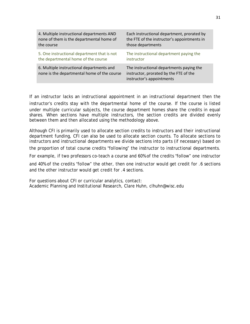| 4. Multiple instructional departments AND                                                | Each instructional department, prorated by                                                                      |
|------------------------------------------------------------------------------------------|-----------------------------------------------------------------------------------------------------------------|
| none of them is the departmental home of                                                 | the FTE of the instructor's appointments in                                                                     |
| the course                                                                               | those departments                                                                                               |
| 5. One instructional department that is not                                              | The instructional department paying the                                                                         |
| the departmental home of the course                                                      | instructor                                                                                                      |
| 6. Multiple instructional departments and<br>none is the departmental home of the course | The instructional departments paying the<br>instructor, prorated by the FTE of the<br>instructor's appointments |

If an instructor lacks an instructional appointment in an instructional department then the instructor's credits stay with the departmental home of the course. If the course is listed under multiple curricular subjects, the course department homes share the credits in equal shares. When sections have multiple instructors, the section credits are divided evenly between them and then allocated using the methodology above.

Although CFI is primarily used to allocate section credits to instructors and their instructional department funding, CFI can also be used to allocate section counts. To allocate sections to instructors and instructional departments we divide sections into parts (if necessary) based on

the proportion of total course credits "following" the instructor to instructional departments.

For example, if two professors co-teach a course and 60% of the credits "follow" one instructor

and 40% of the credits "follow" the other, then one instructor would get credit for .6 sections and the other instructor would get credit for .4 sections.

For questions about CFI or curricular analytics, contact: Academic Planning and Institutional Research, Clare Huhn, clhuhn@wisc.edu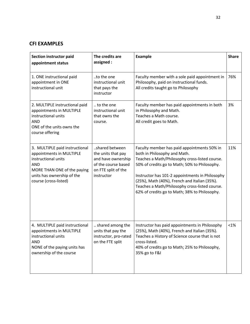# **CFI EXAMPLES**

| Section instructor paid<br>appointment status                                                                                                                                         | The credits are<br>assigned :                                                                                          | <b>Example</b>                                                                                                                                                                                                                                                                                                                                                                       | <b>Share</b> |
|---------------------------------------------------------------------------------------------------------------------------------------------------------------------------------------|------------------------------------------------------------------------------------------------------------------------|--------------------------------------------------------------------------------------------------------------------------------------------------------------------------------------------------------------------------------------------------------------------------------------------------------------------------------------------------------------------------------------|--------------|
| 1. ONE instructional paid<br>appointment in ONE<br>instructional unit                                                                                                                 | to the one<br>instructional unit<br>that pays the<br>instructor                                                        | Faculty member with a sole paid appointment in<br>Philosophy, paid on instructional funds.<br>All credits taught go to Philosophy                                                                                                                                                                                                                                                    | 76%          |
| 2. MULTIPLE instructional paid<br>appointments in MULTIPLE<br>instructional units<br><b>AND</b><br>ONE of the units owns the<br>course offering                                       | to the one<br>instructional unit<br>that owns the<br>course.                                                           | Faculty member has paid appointments in both<br>in Philosophy and Math.<br>Teaches a Math course.<br>All credit goes to Math.                                                                                                                                                                                                                                                        | 3%           |
| 3. MULTIPLE paid instructional<br>appointments in MULTIPLE<br>instructional units<br><b>AND</b><br>MORE THAN ONE of the paying<br>units has ownership of the<br>course (cross-listed) | shared between<br>the units that pay<br>and have ownership<br>of the course based<br>on FTE split of the<br>instructor | Faculty member has paid appointments 50% in<br>both in Philosophy and Math.<br>Teaches a Math/Philosophy cross-listed course.<br>50% of credits go to Math; 50% to Philosophy.<br>Instructor has 101-2 appointments in Philosophy<br>(25%), Math (40%), French and Italian (35%).<br>Teaches a Math/Philosophy cross-listed course.<br>62% of credits go to Math; 38% to Philosophy. | 11%          |
| 4. MULTIPLE paid instructional<br>appointments in MULTIPLE<br>instructional units<br><b>AND</b><br>NONE of the paying units has<br>ownership of the course                            | shared among the<br>units that pay the<br>instructor, pro-rated<br>on the FTE split                                    | Instructor has paid appointments in Philosophy<br>(25%), Math (40%), French and Italian (35%).<br>Teaches a History of Science course that is not<br>cross-listed.<br>40% of credits go to Math; 25% to Philosophy,<br>35% go to F&I                                                                                                                                                 | $< 1\%$      |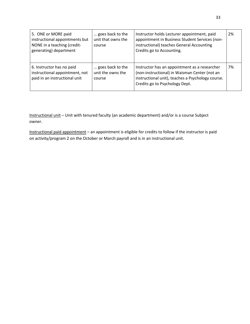| 5. ONE or MORE paid<br>instructional appointments but<br>NONE in a teaching (credit-<br>generating) department | goes back to the<br>unit that owns the<br>course | Instructor holds Lecturer appointment, paid<br>appointment in Business Student Services (non-<br>instructional) teaches General Accounting<br>Credits go to Accounting.               | 2% |
|----------------------------------------------------------------------------------------------------------------|--------------------------------------------------|---------------------------------------------------------------------------------------------------------------------------------------------------------------------------------------|----|
| 6. Instructor has no paid<br>instructional appointment, not<br>paid in an instructional unit                   | goes back to the<br>unit the owns the<br>course  | Instructor has an appointment as a researcher<br>(non-instructional) in Waisman Center (not an<br>instructional unit), teaches a Psychology course.<br>Credits go to Psychology Dept. | 7% |

Instructional unit – Unit with tenured faculty (an academic department) and/or is a course Subject owner.

Instructional paid appointment – an appointment is eligible for credits to follow if the instructor is paid on activity/program 2 on the October or March payroll and is in an instructional unit.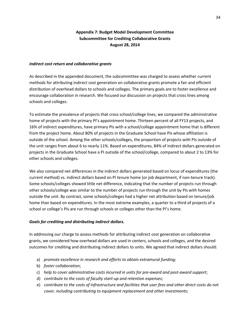## **Appendix 7: Budget Model Development Committee Subcommittee for Crediting Collaborative Grants August 28, 2014**

#### *Indirect cost return and collaborative grants*

As described in the appended document, the subcommittee was charged to assess whether current methods for attributing indirect cost generation on collaborative grants promote a fair and efficient distribution of overhead dollars to schools and colleges. The primary goals are to foster excellence and encourage collaboration in research. We focused our discussion on projects that cross lines among schools and colleges.

To estimate the prevalence of projects that cross school/college lines, we compared the administrative home of projects with the primary PI's appointment home. Thirteen percent of all FY13 projects, and 16% of indirect expenditures, have primary PIs with a school/college appointment home that is different from the project home. About 80% of projects in the Graduate School have PIs whose affiliation is outside of the school. Among the other schools/colleges, the proportion of projects with PIs outside of the unit ranges from about 6 to nearly 11%. Based on expenditures, 84% of indirect dollars generated on projects in the Graduate School have a PI outside of the school/college, compared to about 2 to 13% for other schools and colleges.

We also compared net differences in the indirect dollars generated based on locus of expenditures (the current method) vs. indirect dollars based on PI tenure home (or job department, if non-tenure track). Some schools/colleges showed little net difference, indicating that the number of projects run through other schools/college was similar to the number of projects run through the unit by PIs with homes outside the unit. By contrast, some schools/colleges had a higher net attribution based on tenure/job home than based on expenditures. In the most extreme examples, a quarter to a third of projects of a school or college's PIs are run through schools or colleges other than the PI's home.

## *Goals for crediting and distributing indirect dollars.*

In addressing our charge to assess methods for attributing indirect cost generation on collaborative grants, we considered how overhead dollars are used in centers, schools and colleges, and the desired outcomes for crediting and distributing indirect dollars to units. We agreed that indirect dollars should:

- a) *promote excellence in research and efforts to obtain extramural funding;*
- b) *foster collaboration*;
- c) *help to cover administrative costs incurred in units for pre-award and post-award support*;
- d) *contribute to the costs of faculty start-up and retention expenses*;
- e) *contribute to the costs of infrastructure and facilities that user fees and other direct costs do not cover, including contributing to equipment replacement and other investments*;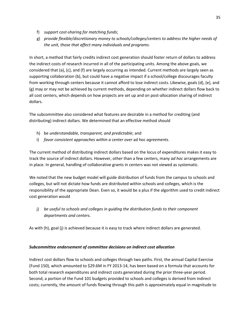- f) *support cost-sharing for matching funds*;
- g) *provide flexible/discretionary money to schools/colleges/centers to address the higher needs of the unit, those that affect many individuals and programs*.

In short, a method that fairly credits indirect cost generation should foster return of dollars to address the indirect costs of research incurred in all of the participating units. Among the above goals, we considered that (a), (c), and (f) are largely occurring as intended. Current methods are largely seen as supporting collaboration (b), but could have a negative impact if a school/college discourages faculty from working through centers because it cannot afford to lose indirect costs. Likewise, goals (d), (e), and (g) may or may not be achieved by current methods, depending on whether indirect dollars flow back to all cost centers, which depends on how projects are set up and on post-allocation sharing of indirect dollars.

The subcommittee also considered what features are desirable in a method for crediting (and distributing) indirect dollars. We determined that an effective method should

- h) be *understandable, transparent, and predictable*; and
- i) *favor consistent approaches within a center over* ad hoc *agreements*.

The current method of distributing indirect dollars based on the locus of expenditures makes it easy to track the source of indirect dollars. However, other than a few centers, many *ad hoc* arrangements are in place. In general, handling of collaborative grants in centers was not viewed as systematic.

We noted that the new budget model will guide distribution of funds from the campus to schools and colleges, but will not dictate how funds are distributed within schools and colleges, which is the responsibility of the appropriate Dean. Even so, it would be a plus if the algorithm used to credit indirect cost generation would

j) *be useful to schools and colleges in guiding the distribution funds to their component departments and centers*.

As with (h), goal (j) is achieved because it is easy to track where indirect dollars are generated.

## *Subcommittee endorsement of committee decisions on indirect cost allocation*

Indirect cost dollars flow to schools and colleges through two paths. First, the annual Capital Exercise (Fund 150), which amounted to \$29.6M in FY 2013-14, has been based on a formula that accounts for both total research expenditures and indirect costs generated during the prior three-year period. Second, a portion of the Fund 101 budgets provided to schools and colleges is derived from indirect costs; currently, the amount of funds flowing through this path is approximately equal in magnitude to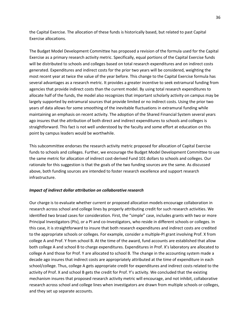the Capital Exercise. The allocation of these funds is historically based, but related to past Capital Exercise allocations.

The Budget Model Development Committee has proposed a revision of the formula used for the Capital Exercise as a primary research activity metric. Specifically, equal portions of the Capital Exercise funds will be distributed to schools and colleges based on total research expenditures and on indirect costs generated. Expenditures and indirect costs for the prior two years will be considered, weighting the most recent year at twice the value of the year before. This change to the Capital Exercise formula has several advantages as a research metric. It provides a greater incentive to seek extramural funding from agencies that provide indirect costs than the current model. By using total research expenditures to allocate half of the funds, the model also recognizes that important scholarly activity on campus may be largely supported by extramural sources that provide limited or no indirect costs. Using the prior two years of data allows for some smoothing of the inevitable fluctuations in extramural funding while maintaining an emphasis on recent activity. The adoption of the Shared Financial System several years ago insures that the attribution of both direct and indirect expenditures to schools and colleges is straightforward. This fact is not well understood by the faculty and some effort at education on this point by campus leaders would be worthwhile.

This subcommittee endorses the research activity metric proposed for allocation of Capital Exercise funds to schools and colleges. Further, we encourage the Budget Model Development Committee to use the same metric for allocation of indirect cost-derived Fund 101 dollars to schools and colleges. Our rationale for this suggestion is that the goals of the two funding sources are the same. As discussed above, both funding sources are intended to foster research excellence and support research infrastructure.

## *Impact of indirect dollar attribution on collaborative research*

Our charge is to evaluate whether current or proposed allocation models encourage collaboration in research across school and college lines by properly attributing credit for such research activities. We identified two broad cases for consideration. First, the "simple" case, includes grants with two or more Principal Investigators (PIs), or a PI and co-Investigators, who reside in different schools or colleges. In this case, it is straightforward to insure that both research expenditures and indirect costs are credited to the appropriate schools or colleges. For example, consider a multiple-PI grant involving Prof. X from college A and Prof. Y from school B. At the time of the award, fund accounts are established that allow both college A and school B to charge expenditures. Expenditures in Prof. X's laboratory are allocated to college A and those for Prof. Y are allocated to school B. The change in the accounting system made a decade ago insures that indirect costs are appropriately attributed at the time of expenditure in each school/college. Thus, college A gets appropriate credit for expenditures and indirect costs related to the activity of Prof. X and school B gets the credit for Prof. Y's activity. We concluded that the existing mechanism insures that proposed research activity metric will encourage, and not inhibit, collaborative research across school and college lines when investigators are drawn from multiple schools or colleges, and they set up separate accounts.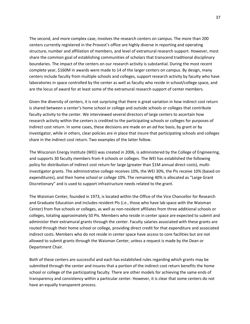The second, and more complex case, involves the research centers on campus. The more than 200 centers currently registered in the Provost's office are highly diverse in reporting and operating structure, number and affiliation of members, and level of extramural research support. However, most share the common goal of establishing communities of scholars that transcend traditional disciplinary boundaries. The impact of the centers on our research activity is substantial. During the most recent complete year, \$160M in awards were made to 14 of the larger centers on campus. By design, many centers include faculty from multiple schools and colleges, support research activity by faculty who have laboratories in space controlled by the center as well as faculty who reside in school/college space, and are the locus of award for at least some of the extramural research support of center members.

Given the diversity of centers, it is not surprising that there is great variation in how indirect cost return is shared between a center's home school or college and outside schools or colleges that contribute faculty activity to the center. We interviewed several directors of large centers to ascertain how research activity within the centers is credited to the participating schools or colleges for purposes of indirect cost return. In some cases, these decisions are made on an *ad hoc* basis, by grant or by investigator, while in others, clear policies are in place that insure that participating schools and colleges share in the indirect cost return. Two examples of the latter follow.

The Wisconsin Energy Institute (WEI) was created in 2006, is administered by the College of Engineering, and supports 30 faculty members from 4 schools or colleges. The WEI has established the following policy for distribution of indirect cost return for large (greater than \$1M annual direct costs), multiinvestigator grants. The administrative college receives 10%, the WEI 30%, the PIs receive 10% (based on expenditures), and their home school or college 10%. The remaining 40% is allocated as "Large Grant Discretionary" and is used to support infrastructure needs related to the grant.

The Waisman Center, founded in 1973, is located within the Office of the Vice Chancellor for Research and Graduate Education and includes resident PIs (*i.e.*, those who have lab space with the Waisman Center) from five schools or colleges, as well as non-resident affiliates from three additional schools or colleges, totaling approximately 50 PIs. Members who reside in center space are expected to submit and administer their extramural grants through the center. Faculty salaries associated with these grants are routed through their home school or college, providing direct credit for that expenditure and associated indirect costs. Members who do not reside in center space have access to core facilities but are not allowed to submit grants through the Waisman Center, unless a request is made by the Dean or Department Chair.

Both of these centers are successful and each has established rules regarding which grants may be submitted through the center and insures that a portion of the indirect cost return benefits the home school or college of the participating faculty. There are other models for achieving the same ends of transparency and consistency within a particular center. However, it is clear that some centers do not have an equally transparent process.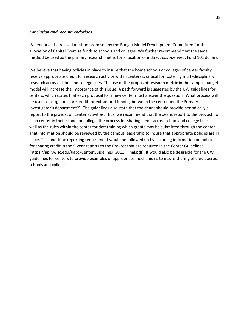#### *Conclusion and recommendations*

We endorse the revised method proposed by the Budget Model Development Committee for the allocation of Capital Exercise funds to schools and colleges. We further recommend that the same method be used as the primary research metric for allocation of indirect cost-derived, Fund 101 dollars.

We believe that having policies in place to insure that the home schools or colleges of center faculty receive appropriate credit for research activity within centers is critical for fostering multi-disciplinary research across school and college lines. The use of the proposed research metric in the campus budget model will increase the importance of this issue. A path forward is suggested by the UW guidelines for centers, which states that each proposal for a new center must answer the question "What process will be used to assign or share credit for extramural funding between the center and the Primary Investigator's department?". The guidelines also state that the deans should provide periodically a report to the provost on center activities. Thus, we recommend that the deans report to the provost, for each center in their school or college, the process for sharing credit across school and college lines as well as the rules within the center for determining which grants may be submitted through the center. That information should be reviewed by the campus leadership to insure that appropriate policies are in place. This one-time reporting requirement would be followed up by including information on policies for sharing credit in the 5-year reports to the Provost that are required in the Center Guidelines [\(https://apir.wisc.edu/uapc/CenterGuidelines\\_2011\\_Final.pdf\)](https://apir.wisc.edu/uapc/CenterGuidelines_2011_Final.pdf). It would also be desirable for the UW guidelines for centers to provide examples of appropriate mechanisms to insure sharing of credit across schools and colleges.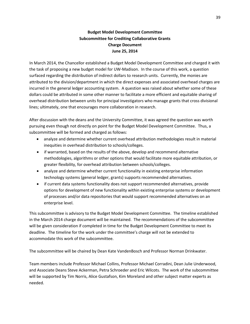# **Budget Model Development Committee Subcommittee for Crediting Collaborative Grants Charge Document June 25, 2014**

In March 2014, the Chancellor established a Budget Model Development Committee and charged it with the task of proposing a new budget model for UW-Madison. In the course of this work, a question surfaced regarding the distribution of indirect dollars to research units. Currently, the monies are attributed to the division/department in which the direct expenses and associated overhead charges are incurred in the general ledger accounting system. A question was raised about whether some of these dollars could be attributed in some other manner to facilitate a more efficient and equitable sharing of overhead distribution between units for principal investigators who manage grants that cross divisional lines; ultimately, one that encourages more collaboration in research.

After discussion with the deans and the University Committee, it was agreed the question was worth pursuing even though not directly on point for the Budget Model Development Committee. Thus, a subcommittee will be formed and charged as follows:

- analyze and determine whether current overhead attribution methodologies result in material inequities in overhead distribution to schools/colleges.
- if warranted, based on the results of the above, develop and recommend alternative methodologies, algorithms or other options that would facilitate more equitable attribution, or greater flexibility, for overhead attribution between schools/colleges.
- analyze and determine whether current functionality in existing enterprise information technology systems (general ledger, grants) supports recommended alternatives.
- if current data systems functionality does not support recommended alternatives, provide options for development of new functionality within existing enterprise systems or development of processes and/or data repositories that would support recommended alternatives on an enterprise level.

This subcommittee is advisory to the Budget Model Development Committee. The timeline established in the March 2014 charge document will be maintained. The recommendations of the subcommittee will be given consideration if completed in time for the Budget Development Committee to meet its deadline. The timeline for the work under the committee's charge will not be extended to accommodate this work of the subcommittee.

The subcommittee will be chaired by Dean Kate VandenBosch and Professor Norman Drinkwater.

Team members include Professor Michael Collins, Professor Michael Corradini, Dean Julie Underwood, and Associate Deans Steve Ackerman, Petra Schroeder and Eric Wilcots. The work of the subcommittee will be supported by Tim Norris, Alice Gustafson, Kim Moreland and other subject matter experts as needed.